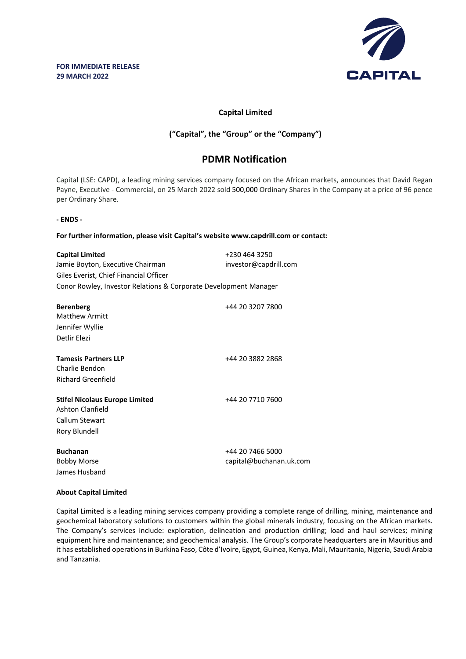

## **Capital Limited**

## **("Capital", the "Group" or the "Company")**

# **PDMR Notification**

Capital (LSE: CAPD), a leading mining services company focused on the African markets, announces that David Regan Payne, Executive - Commercial, on 25 March 2022 sold 500,000 Ordinary Shares in the Company at a price of 96 pence per Ordinary Share.

#### **- ENDS -**

#### **For further information, please visit Capital's website www.capdrill.com or contact:**

| <b>Capital Limited</b>                                           | +230 464 3250                               |
|------------------------------------------------------------------|---------------------------------------------|
| Jamie Boyton, Executive Chairman                                 | investor@capdrill.com                       |
| Giles Everist, Chief Financial Officer                           |                                             |
| Conor Rowley, Investor Relations & Corporate Development Manager |                                             |
| <b>Berenberg</b>                                                 | +44 20 3207 7800                            |
| <b>Matthew Armitt</b>                                            |                                             |
| Jennifer Wyllie                                                  |                                             |
| Detlir Elezi                                                     |                                             |
| <b>Tamesis Partners LLP</b>                                      | +44 20 3882 2868                            |
| Charlie Bendon                                                   |                                             |
| Richard Greenfield                                               |                                             |
| <b>Stifel Nicolaus Europe Limited</b><br><b>Ashton Clanfield</b> | +44 20 7710 7600                            |
| Callum Stewart                                                   |                                             |
| Rory Blundell                                                    |                                             |
| <b>Buchanan</b><br><b>Bobby Morse</b><br>James Husband           | +44 20 7466 5000<br>capital@buchanan.uk.com |

#### **About Capital Limited**

Capital Limited is a leading mining services company providing a complete range of drilling, mining, maintenance and geochemical laboratory solutions to customers within the global minerals industry, focusing on the African markets. The Company's services include: exploration, delineation and production drilling; load and haul services; mining equipment hire and maintenance; and geochemical analysis. The Group's corporate headquarters are in Mauritius and it has established operations in Burkina Faso, Côte d'Ivoire, Egypt, Guinea, Kenya, Mali, Mauritania, Nigeria, Saudi Arabia and Tanzania.